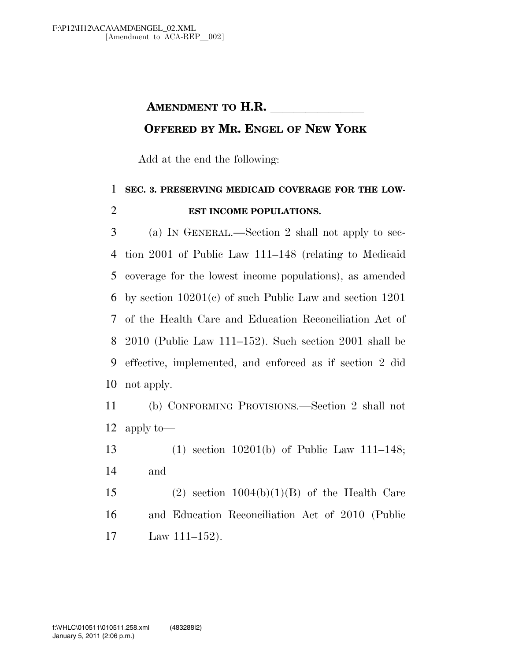## **AMENDMENT TO H.R.**

## **OFFERED BY MR. ENGEL OF NEW YORK**

Add at the end the following:

## **SEC. 3. PRESERVING MEDICAID COVERAGE FOR THE LOW-EST INCOME POPULATIONS.**

 (a) IN GENERAL.—Section 2 shall not apply to sec- tion 2001 of Public Law 111–148 (relating to Medicaid coverage for the lowest income populations), as amended by section 10201(c) of such Public Law and section 1201 of the Health Care and Education Reconciliation Act of 2010 (Public Law 111–152). Such section 2001 shall be effective, implemented, and enforced as if section 2 did not apply.

 (b) CONFORMING PROVISIONS.—Section 2 shall not apply to—

 (1) section 10201(b) of Public Law 111–148; and

15 (2) section  $1004(b)(1)(B)$  of the Health Care and Education Reconciliation Act of 2010 (Public Law 111–152).